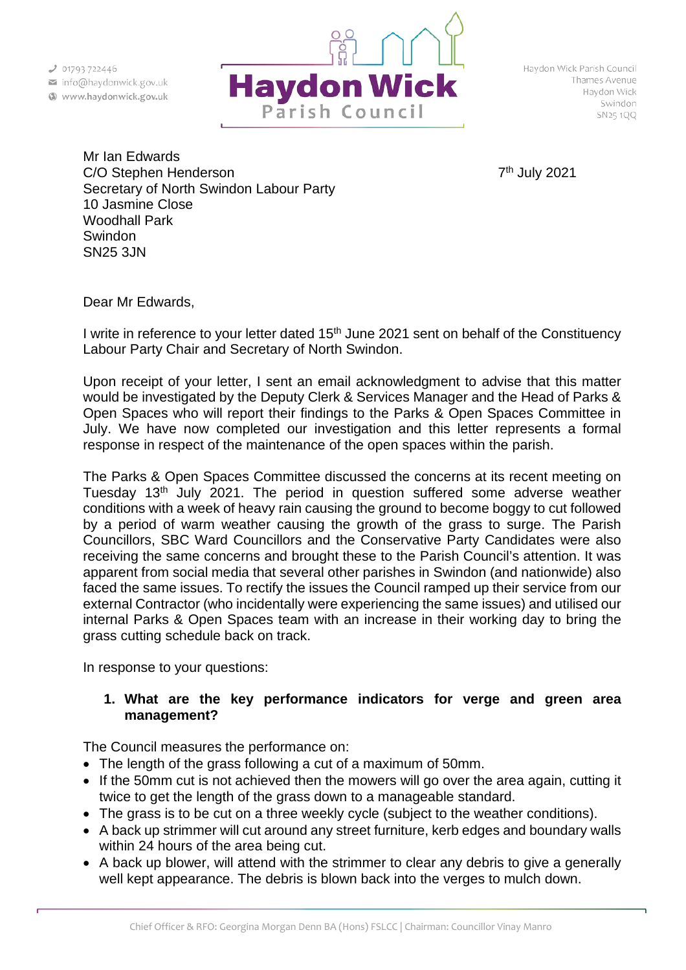

Haydon Wick Parish Council Thames Avenue Haydon Wick Swindon SN25 1QQ

Mr Ian Edwards C/O Stephen Henderson 7th July 2021 Secretary of North Swindon Labour Party 10 Jasmine Close Woodhall Park Swindon SN25 3JN

Dear Mr Edwards,

I write in reference to your letter dated  $15<sup>th</sup>$  June 2021 sent on behalf of the Constituency Labour Party Chair and Secretary of North Swindon.

Upon receipt of your letter, I sent an email acknowledgment to advise that this matter would be investigated by the Deputy Clerk & Services Manager and the Head of Parks & Open Spaces who will report their findings to the Parks & Open Spaces Committee in July. We have now completed our investigation and this letter represents a formal response in respect of the maintenance of the open spaces within the parish.

The Parks & Open Spaces Committee discussed the concerns at its recent meeting on Tuesday 13<sup>th</sup> July 2021. The period in question suffered some adverse weather conditions with a week of heavy rain causing the ground to become boggy to cut followed by a period of warm weather causing the growth of the grass to surge. The Parish Councillors, SBC Ward Councillors and the Conservative Party Candidates were also receiving the same concerns and brought these to the Parish Council's attention. It was apparent from social media that several other parishes in Swindon (and nationwide) also faced the same issues. To rectify the issues the Council ramped up their service from our external Contractor (who incidentally were experiencing the same issues) and utilised our internal Parks & Open Spaces team with an increase in their working day to bring the grass cutting schedule back on track.

In response to your questions:

## **1. What are the key performance indicators for verge and green area management?**

The Council measures the performance on:

- The length of the grass following a cut of a maximum of 50mm.
- If the 50mm cut is not achieved then the mowers will go over the area again, cutting it twice to get the length of the grass down to a manageable standard.
- The grass is to be cut on a three weekly cycle (subject to the weather conditions).
- A back up strimmer will cut around any street furniture, kerb edges and boundary walls within 24 hours of the area being cut.
- A back up blower, will attend with the strimmer to clear any debris to give a generally well kept appearance. The debris is blown back into the verges to mulch down.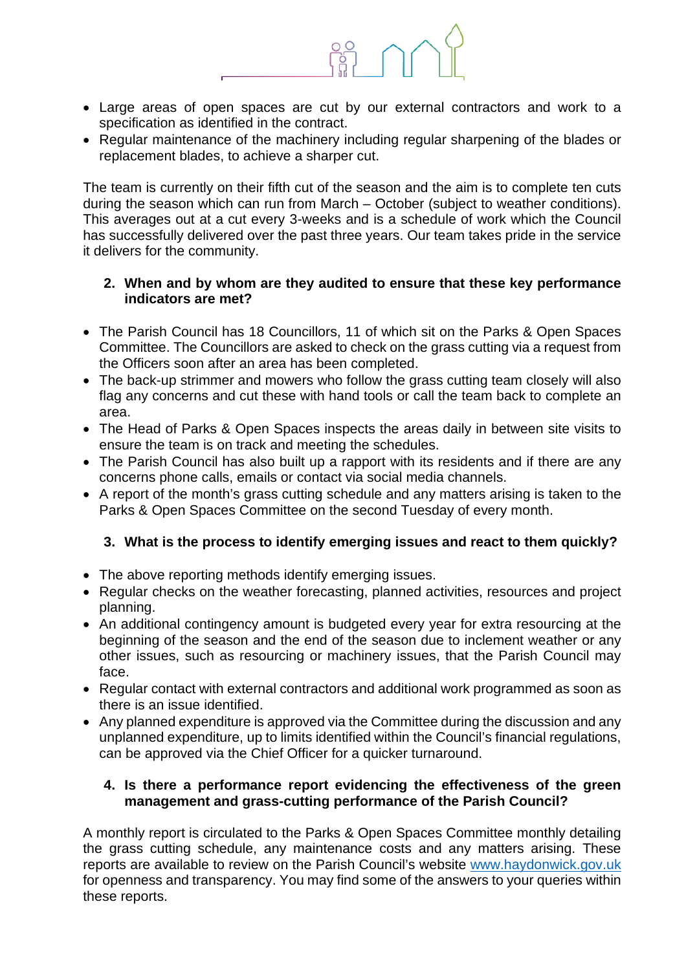

- Large areas of open spaces are cut by our external contractors and work to a specification as identified in the contract.
- Regular maintenance of the machinery including regular sharpening of the blades or replacement blades, to achieve a sharper cut.

The team is currently on their fifth cut of the season and the aim is to complete ten cuts during the season which can run from March – October (subject to weather conditions). This averages out at a cut every 3-weeks and is a schedule of work which the Council has successfully delivered over the past three years. Our team takes pride in the service it delivers for the community.

## **2. When and by whom are they audited to ensure that these key performance indicators are met?**

- The Parish Council has 18 Councillors, 11 of which sit on the Parks & Open Spaces Committee. The Councillors are asked to check on the grass cutting via a request from the Officers soon after an area has been completed.
- The back-up strimmer and mowers who follow the grass cutting team closely will also flag any concerns and cut these with hand tools or call the team back to complete an area.
- The Head of Parks & Open Spaces inspects the areas daily in between site visits to ensure the team is on track and meeting the schedules.
- The Parish Council has also built up a rapport with its residents and if there are any concerns phone calls, emails or contact via social media channels.
- A report of the month's grass cutting schedule and any matters arising is taken to the Parks & Open Spaces Committee on the second Tuesday of every month.

## **3. What is the process to identify emerging issues and react to them quickly?**

- The above reporting methods identify emerging issues.
- Regular checks on the weather forecasting, planned activities, resources and project planning.
- An additional contingency amount is budgeted every year for extra resourcing at the beginning of the season and the end of the season due to inclement weather or any other issues, such as resourcing or machinery issues, that the Parish Council may face.
- Regular contact with external contractors and additional work programmed as soon as there is an issue identified.
- Any planned expenditure is approved via the Committee during the discussion and any unplanned expenditure, up to limits identified within the Council's financial regulations, can be approved via the Chief Officer for a quicker turnaround.

## **4. Is there a performance report evidencing the effectiveness of the green management and grass-cutting performance of the Parish Council?**

A monthly report is circulated to the Parks & Open Spaces Committee monthly detailing the grass cutting schedule, any maintenance costs and any matters arising. These reports are available to review on the Parish Council's website [www.haydonwick.gov.uk](http://www.haydonwick.gov.uk/) for openness and transparency. You may find some of the answers to your queries within these reports.